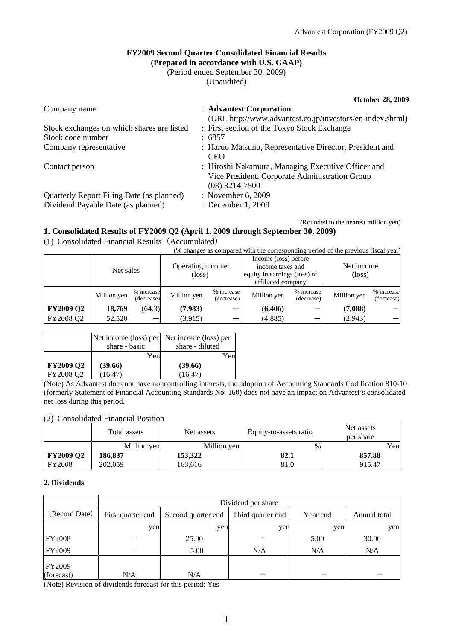### **FY2009 Second Quarter Consolidated Financial Results (Prepared in accordance with U.S. GAAP)**

(Period ended September 30, 2009)

(Unaudited)

**October 28, 2009**  Company name : **Advantest Corporation** (URL http://www.advantest.co.jp/investors/en-index.shtml) Stock exchanges on which shares are listed : First section of the Tokyo Stock Exchange Stock code number : 6857 Company representative : Haruo Matsuno, Representative Director, President and **CEO** Contact person : Hiroshi Nakamura, Managing Executive Officer and Vice President, Corporate Administration Group (03) 3214-7500 Quarterly Report Filing Date (as planned) : November 6, 2009 Dividend Payable Date (as planned) : December 1, 2009

(Rounded to the nearest million yen)

## **1. Consolidated Results of FY2009 Q2 (April 1, 2009 through September 30, 2009)**

(1) Consolidated Financial Results(Accumulated)

|                  | Net sales   |                          | Operating income<br>$(\text{loss})$ |                          | Income (loss) before<br>income taxes and<br>equity in earnings (loss) of<br>affiliated company |                          | Net income<br>$(\text{loss})$ |                          |
|------------------|-------------|--------------------------|-------------------------------------|--------------------------|------------------------------------------------------------------------------------------------|--------------------------|-------------------------------|--------------------------|
|                  | Million yen | % increase<br>(decrease) | Million yen                         | % increase<br>(decrease) | Million yen                                                                                    | % increase<br>(decrease) | Million yen                   | % increase<br>(decrease) |
| <b>FY2009 Q2</b> | 18,769      | (64.3)                   | (7,983)                             |                          | (6,406)                                                                                        |                          | (7,088)                       |                          |
| FY2008 Q2        | 52,520      |                          | (3,915)                             | _                        | (4,885)                                                                                        |                          | (2,943)                       |                          |

|                                                  | Net income (loss) per | Net income (loss) per |
|--------------------------------------------------|-----------------------|-----------------------|
|                                                  | share - basic         | share - diluted       |
|                                                  | Yen                   | Yen                   |
| <b>FY2009 Q2</b>                                 | (39.66)               | (39.66)               |
| FY2008 Q2                                        | (16.47)               | (16.47)               |
| $\sim$ $\sim$ $\sim$ $\sim$ $\sim$ $\sim$ $\sim$ |                       | .                     |

(Note) As Advantest does not have noncontrolling interests, the adoption of Accounting Standards Codification 810-10 (formerly Statement of Financial Accounting Standards No. 160) does not have an impact on Advantest's consolidated net loss during this period.

## (2) Consolidated Financial Position

|                  | Total assets | Net assets  | Equity-to-assets ratio | Net assets<br>per share |
|------------------|--------------|-------------|------------------------|-------------------------|
|                  | Million yen  | Million yen | %                      | Yen                     |
| <b>FY2009 Q2</b> | 186,837      | 153,322     | 82.1                   | 857.88                  |
| <b>FY2008</b>    | 202,059      | 163.616     | 81.0                   | 915.47                  |

## **2. Dividends**

|                             | Dividend per share |                    |                   |          |              |  |  |
|-----------------------------|--------------------|--------------------|-------------------|----------|--------------|--|--|
| (Record Date)               | First quarter end  | Second quarter end | Third quarter end | Year end | Annual total |  |  |
|                             | yen                | yen                | yen               | yen      | yen          |  |  |
| <b>FY2008</b>               |                    | 25.00              |                   | 5.00     | 30.00        |  |  |
| FY2009                      |                    | 5.00               | N/A               | N/A      | N/A          |  |  |
| <b>FY2009</b><br>(forecast) | N/A                | N/A                |                   |          |              |  |  |

(Note) Revision of dividends forecast for this period: Yes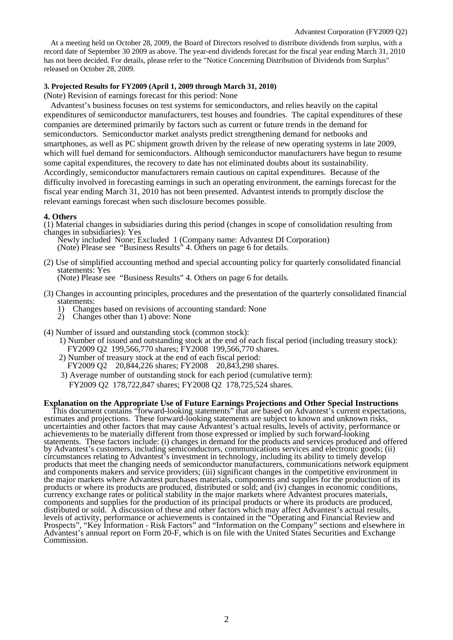At a meeting held on October 28, 2009, the Board of Directors resolved to distribute dividends from surplus, with a record date of September 30 2009 as above. The year-end dividends forecast for the fiscal year ending March 31, 2010 has not been decided. For details, please refer to the "Notice Concerning Distribution of Dividends from Surplus" released on October 28, 2009.

#### **3. Projected Results for FY2009 (April 1, 2009 through March 31, 2010)**

(Note) Revision of earnings forecast for this period: None

Advantest's business focuses on test systems for semiconductors, and relies heavily on the capital expenditures of semiconductor manufacturers, test houses and foundries. The capital expenditures of these companies are determined primarily by factors such as current or future trends in the demand for semiconductors. Semiconductor market analysts predict strengthening demand for netbooks and smartphones, as well as PC shipment growth driven by the release of new operating systems in late 2009, which will fuel demand for semiconductors. Although semiconductor manufacturers have begun to resume some capital expenditures, the recovery to date has not eliminated doubts about its sustainability. Accordingly, semiconductor manufacturers remain cautious on capital expenditures. Because of the difficulty involved in forecasting earnings in such an operating environment, the earnings forecast for the fiscal year ending March 31, 2010 has not been presented. Advantest intends to promptly disclose the relevant earnings forecast when such disclosure becomes possible.

#### **4. Others**

(1) Material changes in subsidiaries during this period (changes in scope of consolidation resulting from changes in subsidiaries): Yes

Newly included None; Excluded 1 (Company name: Advantest DI Corporation)

(Note) Please see "Business Results" 4. Others on page 6 for details.

(2) Use of simplified accounting method and special accounting policy for quarterly consolidated financial statements: Yes

(Note) Please see "Business Results" 4. Others on page 6 for details.

- (3) Changes in accounting principles, procedures and the presentation of the quarterly consolidated financial statements:
	- 1) Changes based on revisions of accounting standard: None
	- 2) Changes other than 1) above: None
- (4) Number of issued and outstanding stock (common stock):
	- 1) Number of issued and outstanding stock at the end of each fiscal period (including treasury stock): FY2009 Q2 199,566,770 shares; FY2008 199,566,770 shares.
	- 2) Number of treasury stock at the end of each fiscal period:
	- FY2009 Q2 20,844,226 shares; FY2008 20,843,298 shares.
	- 3) Average number of outstanding stock for each period (cumulative term): FY2009 Q2 178,722,847 shares; FY2008 Q2 178,725,524 shares.

#### **Explanation on the Appropriate Use of Future Earnings Projections and Other Special Instructions**

This document contains "forward-looking statements" that are based on Advantest's current expectations, estimates and projections. These forward-looking statements are subject to known and unknown risks, uncertainties and other factors that may cause Advantest's actual results, levels of activity, performance or achievements to be materially different from those expressed or implied by such forward-looking statements. These factors include: (i) changes in demand for the products and services produced and offered by Advantest's customers, including semiconductors, communications services and electronic goods; (ii) circumstances relating to Advantest's investment in technology, including its ability to timely develop products that meet the changing needs of semiconductor manufacturers, communications network equipment and components makers and service providers; (iii) significant changes in the competitive environment in the major markets where Advantest purchases materials, components and supplies for the production of its products or where its products are produced, distributed or sold; and (iv) changes in economic conditions, currency exchange rates or political stability in the major markets where Advantest procures materials, components and supplies for the production of its principal products or where its products are produced, distributed or sold. A discussion of these and other factors which may affect Advantest's actual results, levels of activity, performance or achievements is contained in the "Operating and Financial Review and Prospects", "Key Information - Risk Factors" and "Information on the Company" sections and elsewhere in Advantest's annual report on Form 20-F, which is on file with the United States Securities and Exchange Commission.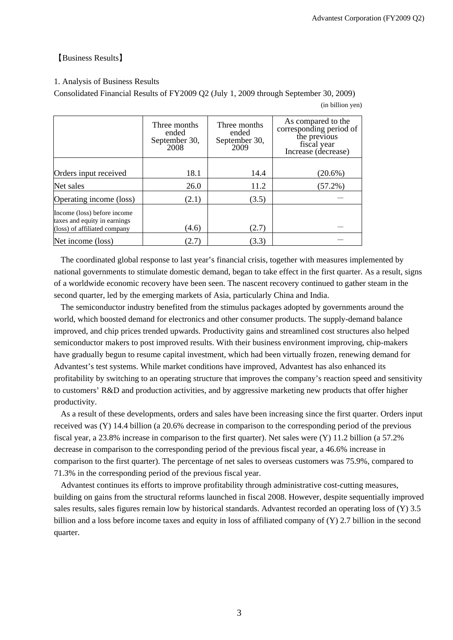# 【Business Results】

### 1. Analysis of Business Results

Consolidated Financial Results of FY2009 Q2 (July 1, 2009 through September 30, 2009)

(in billion yen)

|                                                              | Three months<br>ended<br>September 30,<br>2008 | Three months<br>ended<br>September 30,<br>2009 | As compared to the<br>corresponding period of<br>the previous<br>fiscal year<br>Increase (decrease) |
|--------------------------------------------------------------|------------------------------------------------|------------------------------------------------|-----------------------------------------------------------------------------------------------------|
|                                                              |                                                |                                                |                                                                                                     |
| Orders input received                                        | 18.1                                           | 14.4                                           | $(20.6\%)$                                                                                          |
| Net sales                                                    | 26.0                                           | 11.2                                           | $(57.2\%)$                                                                                          |
| Operating income (loss)                                      | (2.1)                                          | (3.5)                                          |                                                                                                     |
| Income (loss) before income                                  |                                                |                                                |                                                                                                     |
| taxes and equity in earnings<br>(loss) of affiliated company | (4.6)                                          | (2.7)                                          |                                                                                                     |
| Net income (loss)                                            | (2.7)                                          | (3.3)                                          |                                                                                                     |

The coordinated global response to last year's financial crisis, together with measures implemented by national governments to stimulate domestic demand, began to take effect in the first quarter. As a result, signs of a worldwide economic recovery have been seen. The nascent recovery continued to gather steam in the second quarter, led by the emerging markets of Asia, particularly China and India.

The semiconductor industry benefited from the stimulus packages adopted by governments around the world, which boosted demand for electronics and other consumer products. The supply-demand balance improved, and chip prices trended upwards. Productivity gains and streamlined cost structures also helped semiconductor makers to post improved results. With their business environment improving, chip-makers have gradually begun to resume capital investment, which had been virtually frozen, renewing demand for Advantest's test systems. While market conditions have improved, Advantest has also enhanced its profitability by switching to an operating structure that improves the company's reaction speed and sensitivity to customers' R&D and production activities, and by aggressive marketing new products that offer higher productivity.

As a result of these developments, orders and sales have been increasing since the first quarter. Orders input received was (Y) 14.4 billion (a 20.6% decrease in comparison to the corresponding period of the previous fiscal year, a 23.8% increase in comparison to the first quarter). Net sales were (Y) 11.2 billion (a 57.2% decrease in comparison to the corresponding period of the previous fiscal year, a 46.6% increase in comparison to the first quarter). The percentage of net sales to overseas customers was 75.9%, compared to 71.3% in the corresponding period of the previous fiscal year.

Advantest continues its efforts to improve profitability through administrative cost-cutting measures, building on gains from the structural reforms launched in fiscal 2008. However, despite sequentially improved sales results, sales figures remain low by historical standards. Advantest recorded an operating loss of (Y) 3.5 billion and a loss before income taxes and equity in loss of affiliated company of (Y) 2.7 billion in the second quarter.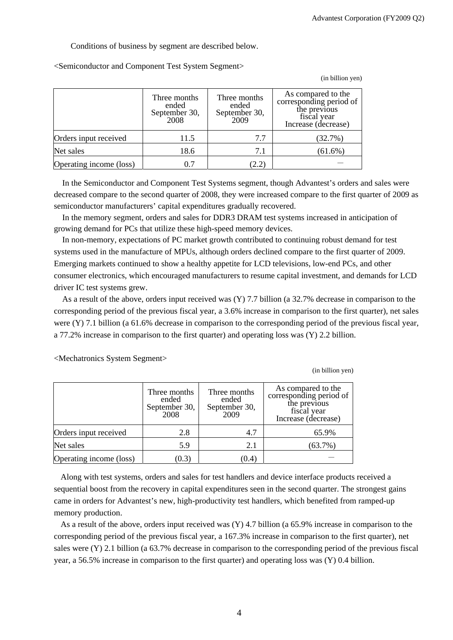(in billion yen)

(in billion yen)

Conditions of business by segment are described below.

<Semiconductor and Component Test System Segment>

|                         | Three months<br>ended<br>September 30,<br>2008 | Three months<br>ended<br>September 30,<br>2009 | As compared to the<br>corresponding period of<br>the previous<br>fiscal year<br>Increase (decrease) |
|-------------------------|------------------------------------------------|------------------------------------------------|-----------------------------------------------------------------------------------------------------|
| Orders input received   | 11.5                                           | 7.7                                            | (32.7%)                                                                                             |
| Net sales               | 18.6                                           | 7.1                                            | $(61.6\%)$                                                                                          |
| Operating income (loss) |                                                | (2.2)                                          |                                                                                                     |

In the Semiconductor and Component Test Systems segment, though Advantest's orders and sales were decreased compare to the second quarter of 2008, they were increased compare to the first quarter of 2009 as semiconductor manufacturers' capital expenditures gradually recovered.

In the memory segment, orders and sales for DDR3 DRAM test systems increased in anticipation of growing demand for PCs that utilize these high-speed memory devices.

In non-memory, expectations of PC market growth contributed to continuing robust demand for test systems used in the manufacture of MPUs, although orders declined compare to the first quarter of 2009. Emerging markets continued to show a healthy appetite for LCD televisions, low-end PCs, and other consumer electronics, which encouraged manufacturers to resume capital investment, and demands for LCD driver IC test systems grew.

As a result of the above, orders input received was (Y) 7.7 billion (a 32.7% decrease in comparison to the corresponding period of the previous fiscal year, a 3.6% increase in comparison to the first quarter), net sales were (Y) 7.1 billion (a 61.6% decrease in comparison to the corresponding period of the previous fiscal year, a 77.2% increase in comparison to the first quarter) and operating loss was (Y) 2.2 billion.

|                         | Three months<br>ended<br>September 30,<br>2008 | Three months<br>ended<br>September 30,<br>2009 | As compared to the<br>corresponding period of<br>the previous<br>fiscal year<br>Increase (decrease) |
|-------------------------|------------------------------------------------|------------------------------------------------|-----------------------------------------------------------------------------------------------------|
| Orders input received   | 2.8                                            | 4.7                                            | 65.9%                                                                                               |
| Net sales               | 5.9                                            | 2.1                                            | $(63.7\%)$                                                                                          |
| Operating income (loss) | (0.3)                                          | (0.4)                                          |                                                                                                     |

<Mechatronics System Segment>

Along with test systems, orders and sales for test handlers and device interface products received a sequential boost from the recovery in capital expenditures seen in the second quarter. The strongest gains came in orders for Advantest's new, high-productivity test handlers, which benefited from ramped-up memory production.

As a result of the above, orders input received was (Y) 4.7 billion (a 65.9% increase in comparison to the corresponding period of the previous fiscal year, a 167.3% increase in comparison to the first quarter), net sales were (Y) 2.1 billion (a 63.7% decrease in comparison to the corresponding period of the previous fiscal year, a 56.5% increase in comparison to the first quarter) and operating loss was (Y) 0.4 billion.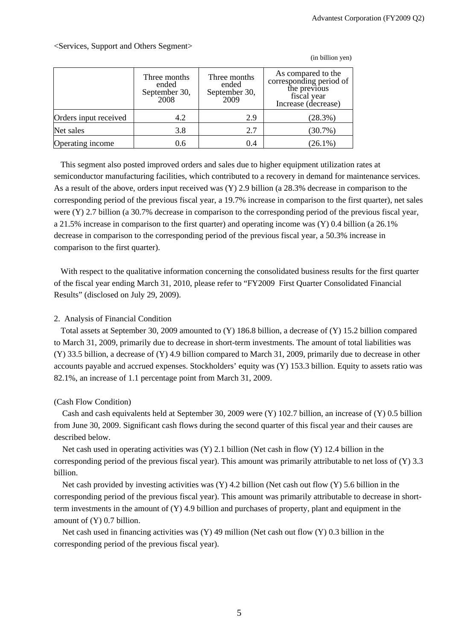(in billion yen)

Three months ended September 30, 2008 Three months ended September 30, 2009 As compared to the corresponding period of the previous fiscal year Increase (decrease) Orders input received  $\begin{vmatrix} 4.2 & 2.9 \end{vmatrix}$  (28.3%) Net sales  $3.8$   $3.8$   $2.7$   $(30.7\%)$ **Operating income** 1 0.6 0.4 (26.1%)

<Services, Support and Others Segment>

This segment also posted improved orders and sales due to higher equipment utilization rates at semiconductor manufacturing facilities, which contributed to a recovery in demand for maintenance services. As a result of the above, orders input received was (Y) 2.9 billion (a 28.3% decrease in comparison to the corresponding period of the previous fiscal year, a 19.7% increase in comparison to the first quarter), net sales were (Y) 2.7 billion (a 30.7% decrease in comparison to the corresponding period of the previous fiscal year, a 21.5% increase in comparison to the first quarter) and operating income was (Y) 0.4 billion (a 26.1% decrease in comparison to the corresponding period of the previous fiscal year, a 50.3% increase in comparison to the first quarter).

With respect to the qualitative information concerning the consolidated business results for the first quarter of the fiscal year ending March 31, 2010, please refer to "FY2009 First Quarter Consolidated Financial Results" (disclosed on July 29, 2009).

# 2. Analysis of Financial Condition

Total assets at September 30, 2009 amounted to (Y) 186.8 billion, a decrease of (Y) 15.2 billion compared to March 31, 2009, primarily due to decrease in short-term investments. The amount of total liabilities was (Y) 33.5 billion, a decrease of (Y) 4.9 billion compared to March 31, 2009, primarily due to decrease in other accounts payable and accrued expenses. Stockholders' equity was (Y) 153.3 billion. Equity to assets ratio was 82.1%, an increase of 1.1 percentage point from March 31, 2009.

## (Cash Flow Condition)

Cash and cash equivalents held at September 30, 2009 were (Y) 102.7 billion, an increase of (Y) 0.5 billion from June 30, 2009. Significant cash flows during the second quarter of this fiscal year and their causes are described below.

Net cash used in operating activities was (Y) 2.1 billion (Net cash in flow (Y) 12.4 billion in the corresponding period of the previous fiscal year). This amount was primarily attributable to net loss of (Y) 3.3 billion.

Net cash provided by investing activities was (Y) 4.2 billion (Net cash out flow (Y) 5.6 billion in the corresponding period of the previous fiscal year). This amount was primarily attributable to decrease in shortterm investments in the amount of (Y) 4.9 billion and purchases of property, plant and equipment in the amount of (Y) 0.7 billion.

Net cash used in financing activities was (Y) 49 million (Net cash out flow (Y) 0.3 billion in the corresponding period of the previous fiscal year).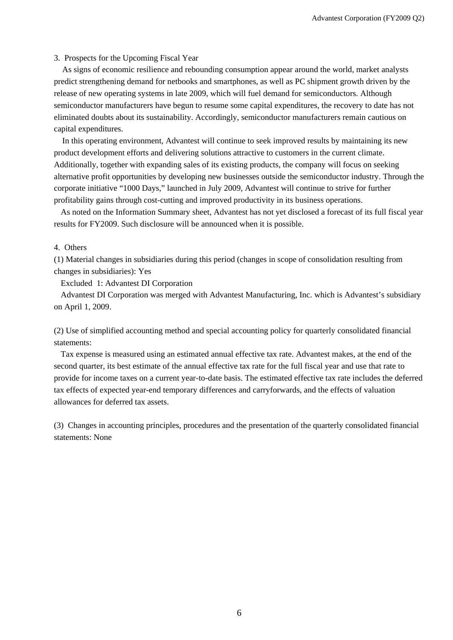#### 3. Prospects for the Upcoming Fiscal Year

As signs of economic resilience and rebounding consumption appear around the world, market analysts predict strengthening demand for netbooks and smartphones, as well as PC shipment growth driven by the release of new operating systems in late 2009, which will fuel demand for semiconductors. Although semiconductor manufacturers have begun to resume some capital expenditures, the recovery to date has not eliminated doubts about its sustainability. Accordingly, semiconductor manufacturers remain cautious on capital expenditures.

In this operating environment, Advantest will continue to seek improved results by maintaining its new product development efforts and delivering solutions attractive to customers in the current climate. Additionally, together with expanding sales of its existing products, the company will focus on seeking alternative profit opportunities by developing new businesses outside the semiconductor industry. Through the corporate initiative "1000 Days," launched in July 2009, Advantest will continue to strive for further profitability gains through cost-cutting and improved productivity in its business operations.

As noted on the Information Summary sheet, Advantest has not yet disclosed a forecast of its full fiscal year results for FY2009. Such disclosure will be announced when it is possible.

### 4. Others

(1) Material changes in subsidiaries during this period (changes in scope of consolidation resulting from changes in subsidiaries): Yes

Excluded 1: Advantest DI Corporation

Advantest DI Corporation was merged with Advantest Manufacturing, Inc. which is Advantest's subsidiary on April 1, 2009.

(2) Use of simplified accounting method and special accounting policy for quarterly consolidated financial statements:

Tax expense is measured using an estimated annual effective tax rate. Advantest makes, at the end of the second quarter, its best estimate of the annual effective tax rate for the full fiscal year and use that rate to provide for income taxes on a current year-to-date basis. The estimated effective tax rate includes the deferred tax effects of expected year-end temporary differences and carryforwards, and the effects of valuation allowances for deferred tax assets.

(3) Changes in accounting principles, procedures and the presentation of the quarterly consolidated financial statements: None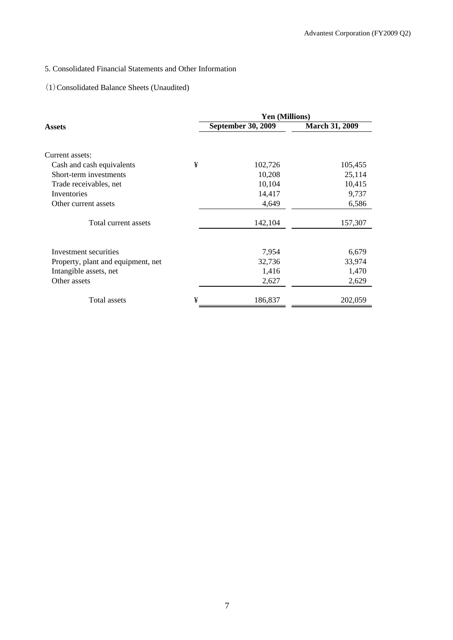# 5. Consolidated Financial Statements and Other Information

# (1)Consolidated Balance Sheets (Unaudited)

|                                    |   | <b>Yen (Millions)</b>     |                       |  |  |  |
|------------------------------------|---|---------------------------|-----------------------|--|--|--|
| Assets                             |   | <b>September 30, 2009</b> | <b>March 31, 2009</b> |  |  |  |
|                                    |   |                           |                       |  |  |  |
| Current assets:                    |   |                           |                       |  |  |  |
| Cash and cash equivalents          | ¥ | 102,726                   | 105,455               |  |  |  |
| Short-term investments             |   | 10,208                    | 25,114                |  |  |  |
| Trade receivables, net             |   | 10,104                    | 10,415                |  |  |  |
| Inventories                        |   | 14,417                    | 9,737                 |  |  |  |
| Other current assets               |   | 4,649                     | 6,586                 |  |  |  |
| Total current assets               |   | 142,104                   | 157,307               |  |  |  |
|                                    |   |                           |                       |  |  |  |
| Investment securities              |   | 7,954                     | 6,679                 |  |  |  |
| Property, plant and equipment, net |   | 32,736                    | 33,974                |  |  |  |
| Intangible assets, net             |   | 1,416                     | 1,470                 |  |  |  |
| Other assets                       |   | 2,627                     | 2,629                 |  |  |  |
| Total assets                       | ¥ | 186,837                   | 202,059               |  |  |  |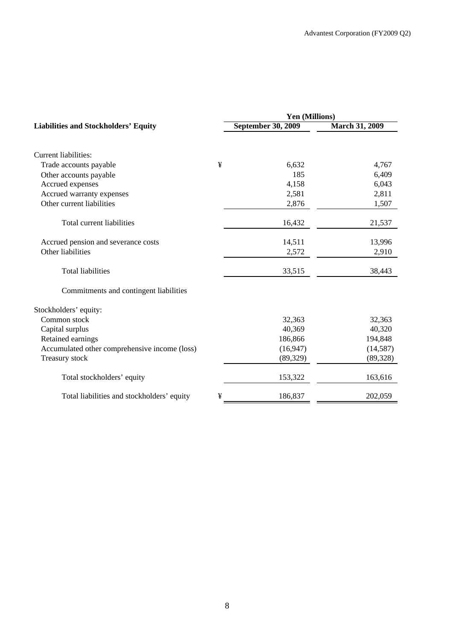|   | Yen (Millions)            |                       |  |  |
|---|---------------------------|-----------------------|--|--|
|   | <b>September 30, 2009</b> | <b>March 31, 2009</b> |  |  |
|   |                           |                       |  |  |
| ¥ | 6,632                     | 4,767                 |  |  |
|   | 185                       | 6,409                 |  |  |
|   | 4,158                     | 6,043                 |  |  |
|   | 2,581                     | 2,811                 |  |  |
|   | 2,876                     | 1,507                 |  |  |
|   | 16,432                    | 21,537                |  |  |
|   | 14,511                    | 13,996                |  |  |
|   | 2,572                     | 2,910                 |  |  |
|   | 33,515                    | 38,443                |  |  |
|   |                           |                       |  |  |
|   |                           |                       |  |  |
|   | 32,363                    | 32,363                |  |  |
|   | 40,369                    | 40,320                |  |  |
|   | 186,866                   | 194,848               |  |  |
|   | (16, 947)                 | (14, 587)             |  |  |
|   | (89, 329)                 | (89, 328)             |  |  |
|   | 153,322                   | 163,616               |  |  |
| ¥ | 186,837                   | 202,059               |  |  |
|   |                           |                       |  |  |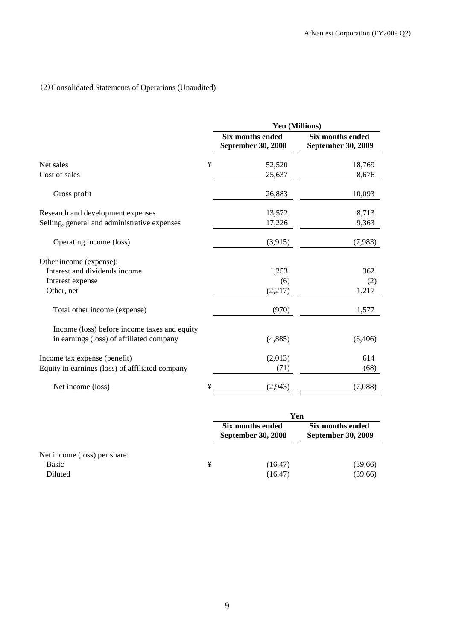# (2)Consolidated Statements of Operations (Unaudited)

|                                                 |   | <b>Yen (Millions)</b>                         |                                               |  |
|-------------------------------------------------|---|-----------------------------------------------|-----------------------------------------------|--|
|                                                 |   | Six months ended<br><b>September 30, 2008</b> | Six months ended<br><b>September 30, 2009</b> |  |
| Net sales                                       | ¥ | 52,520                                        | 18,769                                        |  |
| Cost of sales                                   |   | 25,637                                        | 8,676                                         |  |
| Gross profit                                    |   | 26,883                                        | 10,093                                        |  |
| Research and development expenses               |   | 13,572                                        | 8,713                                         |  |
| Selling, general and administrative expenses    |   | 17,226                                        | 9,363                                         |  |
| Operating income (loss)                         |   | (3,915)                                       | (7,983)                                       |  |
| Other income (expense):                         |   |                                               |                                               |  |
| Interest and dividends income                   |   | 1,253                                         | 362                                           |  |
| Interest expense                                |   | (6)                                           | (2)                                           |  |
| Other, net                                      |   | (2,217)                                       | 1,217                                         |  |
| Total other income (expense)                    |   | (970)                                         | 1,577                                         |  |
| Income (loss) before income taxes and equity    |   |                                               |                                               |  |
| in earnings (loss) of affiliated company        |   | (4,885)                                       | (6,406)                                       |  |
| Income tax expense (benefit)                    |   | (2,013)                                       | 614                                           |  |
| Equity in earnings (loss) of affiliated company |   | (71)                                          | (68)                                          |  |
| Net income (loss)                               | ¥ | (2,943)                                       | (7,088)                                       |  |

|                              |   | Yen                                           |                                               |  |
|------------------------------|---|-----------------------------------------------|-----------------------------------------------|--|
|                              |   | Six months ended<br><b>September 30, 2008</b> | Six months ended<br><b>September 30, 2009</b> |  |
| Net income (loss) per share: |   |                                               |                                               |  |
| <b>Basic</b>                 | ¥ | (16.47)                                       | (39.66)                                       |  |
| Diluted                      |   | (16.47)                                       | (39.66)                                       |  |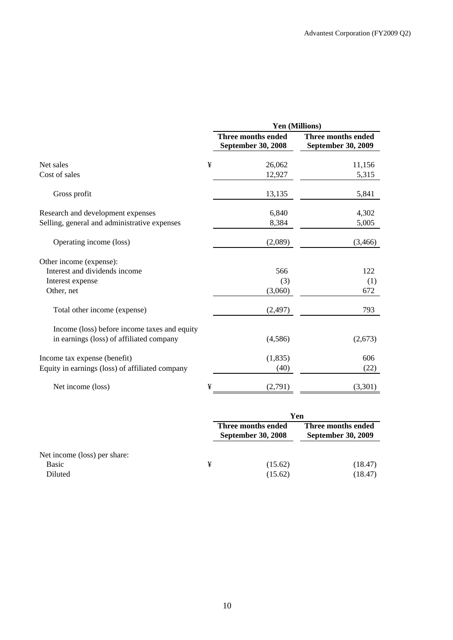|                                                                                          |   | Yen (Millions)                                  |                                                 |  |
|------------------------------------------------------------------------------------------|---|-------------------------------------------------|-------------------------------------------------|--|
|                                                                                          |   | Three months ended<br><b>September 30, 2008</b> | Three months ended<br><b>September 30, 2009</b> |  |
| Net sales                                                                                | ¥ | 26,062                                          | 11,156                                          |  |
| Cost of sales                                                                            |   | 12,927                                          | 5,315                                           |  |
| Gross profit                                                                             |   | 13,135                                          | 5,841                                           |  |
| Research and development expenses                                                        |   | 6,840                                           | 4,302                                           |  |
| Selling, general and administrative expenses                                             |   | 8,384                                           | 5,005                                           |  |
| Operating income (loss)                                                                  |   | (2,089)                                         | (3,466)                                         |  |
| Other income (expense):                                                                  |   |                                                 |                                                 |  |
| Interest and dividends income                                                            |   | 566                                             | 122                                             |  |
| Interest expense                                                                         |   | (3)                                             | (1)                                             |  |
| Other, net                                                                               |   | (3,060)                                         | 672                                             |  |
| Total other income (expense)                                                             |   | (2, 497)                                        | 793                                             |  |
| Income (loss) before income taxes and equity<br>in earnings (loss) of affiliated company |   | (4,586)                                         | (2,673)                                         |  |
| Income tax expense (benefit)                                                             |   | (1,835)                                         | 606                                             |  |
| Equity in earnings (loss) of affiliated company                                          |   | (40)                                            | (22)                                            |  |
| Net income (loss)                                                                        | ¥ | (2,791)                                         | (3,301)                                         |  |

|                              |   | Yen                                             |                                                 |  |
|------------------------------|---|-------------------------------------------------|-------------------------------------------------|--|
|                              |   | Three months ended<br><b>September 30, 2008</b> | Three months ended<br><b>September 30, 2009</b> |  |
| Net income (loss) per share: |   |                                                 |                                                 |  |
| <b>Basic</b>                 | ¥ | (15.62)                                         | (18.47)                                         |  |
| Diluted                      |   | (15.62)                                         | (18.47)                                         |  |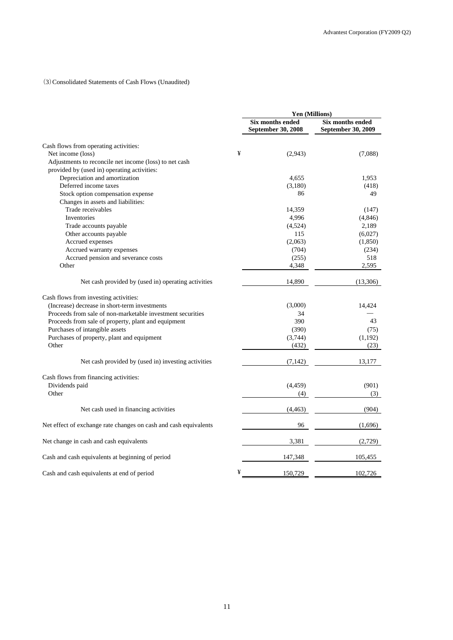### (3)Consolidated Statements of Cash Flows (Unaudited)

|                                                                  | Yen (Millions) |                                               |                                               |
|------------------------------------------------------------------|----------------|-----------------------------------------------|-----------------------------------------------|
|                                                                  |                | <b>Six months ended</b><br>September 30, 2008 | <b>Six months ended</b><br>September 30, 2009 |
| Cash flows from operating activities:                            |                |                                               |                                               |
| Net income (loss)                                                | ¥              | (2,943)                                       | (7,088)                                       |
| Adjustments to reconcile net income (loss) to net cash           |                |                                               |                                               |
| provided by (used in) operating activities:                      |                |                                               |                                               |
| Depreciation and amortization                                    |                | 4,655                                         | 1,953                                         |
| Deferred income taxes                                            |                | (3,180)                                       | (418)                                         |
| Stock option compensation expense                                |                | 86                                            | 49                                            |
| Changes in assets and liabilities:                               |                |                                               |                                               |
| Trade receivables                                                |                | 14,359                                        | (147)                                         |
| Inventories                                                      |                | 4,996                                         | (4,846)                                       |
| Trade accounts payable                                           |                | (4,524)                                       | 2,189                                         |
| Other accounts payable                                           |                | 115                                           | (6,027)                                       |
| Accrued expenses                                                 |                | (2,063)                                       | (1, 850)                                      |
| Accrued warranty expenses                                        |                | (704)                                         | (234)                                         |
| Accrued pension and severance costs                              |                | (255)                                         | 518                                           |
| Other                                                            |                | 4,348                                         | 2,595                                         |
| Net cash provided by (used in) operating activities              |                | 14,890                                        | (13,306)                                      |
| Cash flows from investing activities:                            |                |                                               |                                               |
| (Increase) decrease in short-term investments                    |                | (3,000)                                       | 14,424                                        |
| Proceeds from sale of non-marketable investment securities       |                | 34                                            |                                               |
| Proceeds from sale of property, plant and equipment              |                | 390                                           | 43                                            |
| Purchases of intangible assets                                   |                | (390)                                         | (75)                                          |
| Purchases of property, plant and equipment                       |                | (3,744)                                       | (1,192)                                       |
| Other                                                            |                | (432)                                         | (23)                                          |
| Net cash provided by (used in) investing activities              |                | (7, 142)                                      | 13,177                                        |
| Cash flows from financing activities:                            |                |                                               |                                               |
| Dividends paid                                                   |                | (4, 459)                                      | (901)                                         |
| Other                                                            |                | (4)                                           | (3)                                           |
| Net cash used in financing activities                            |                | (4, 463)                                      | (904)                                         |
| Net effect of exchange rate changes on cash and cash equivalents |                | 96                                            | (1,696)                                       |
| Net change in cash and cash equivalents                          |                | 3,381                                         | (2,729)                                       |
| Cash and cash equivalents at beginning of period                 |                | 147,348                                       | 105,455                                       |
| Cash and cash equivalents at end of period                       | ¥              | 150,729                                       | 102,726                                       |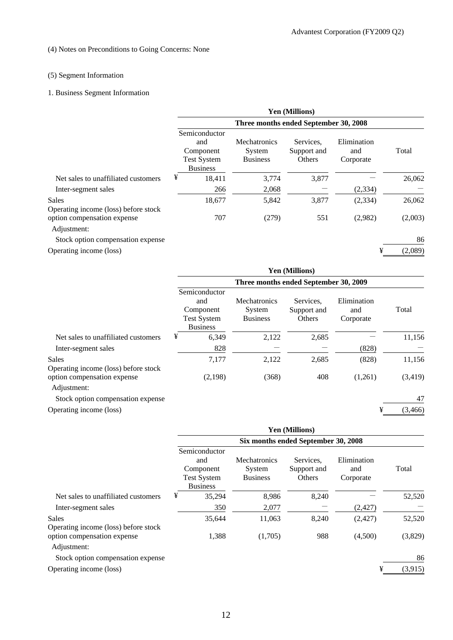# (4) Notes on Preconditions to Going Concerns: None

# (5) Segment Information

# 1. Business Segment Information

|                                                      | <b>Yen (Millions)</b>                                                      |        |                                                  |                                    |                                 |         |
|------------------------------------------------------|----------------------------------------------------------------------------|--------|--------------------------------------------------|------------------------------------|---------------------------------|---------|
|                                                      | Three months ended September 30, 2008                                      |        |                                                  |                                    |                                 |         |
|                                                      | Semiconductor<br>and<br>Component<br><b>Test System</b><br><b>Business</b> |        | <b>Mechatronics</b><br>System<br><b>Business</b> | Services.<br>Support and<br>Others | Elimination<br>and<br>Corporate | Total   |
| Net sales to unaffiliated customers                  | ¥                                                                          | 18,411 | 3,774                                            | 3,877                              |                                 | 26,062  |
| Inter-segment sales                                  |                                                                            | 266    | 2,068                                            |                                    | (2,334)                         |         |
| <b>Sales</b><br>Operating income (loss) before stock |                                                                            | 18,677 | 5,842                                            | 3,877                              | (2, 334)                        | 26,062  |
| option compensation expense<br>Adjustment:           |                                                                            | 707    | (279)                                            | 551                                | (2,982)                         | (2,003) |
| Stock option compensation expense                    |                                                                            |        |                                                  |                                    |                                 | 86      |
| Operating income (loss)                              |                                                                            |        |                                                  |                                    | ¥                               | (2,089) |

|                                                      | <b>Yen (Millions)</b>                                                      |                                                  |                                    |                                 |          |
|------------------------------------------------------|----------------------------------------------------------------------------|--------------------------------------------------|------------------------------------|---------------------------------|----------|
|                                                      | Three months ended September 30, 2009                                      |                                                  |                                    |                                 |          |
|                                                      | Semiconductor<br>and<br>Component<br><b>Test System</b><br><b>Business</b> | <b>Mechatronics</b><br>System<br><b>Business</b> | Services.<br>Support and<br>Others | Elimination<br>and<br>Corporate | Total    |
| Net sales to unaffiliated customers                  | ¥<br>6,349                                                                 | 2,122                                            | 2,685                              |                                 | 11,156   |
| Inter-segment sales                                  | 828                                                                        |                                                  |                                    | (828)                           |          |
| <b>Sales</b><br>Operating income (loss) before stock | 7,177                                                                      | 2,122                                            | 2,685                              | (828)                           | 11,156   |
| option compensation expense<br>Adjustment:           | (2,198)                                                                    | (368)                                            | 408                                | (1,261)                         | (3, 419) |
| Stock option compensation expense                    |                                                                            |                                                  |                                    |                                 | 47       |
| Operating income (loss)                              |                                                                            |                                                  |                                    | ¥                               | (3, 466) |

|                                                      | <b>Yen (Millions)</b>               |                                                                            |                                                  |                                    |                                 |         |
|------------------------------------------------------|-------------------------------------|----------------------------------------------------------------------------|--------------------------------------------------|------------------------------------|---------------------------------|---------|
|                                                      | Six months ended September 30, 2008 |                                                                            |                                                  |                                    |                                 |         |
|                                                      |                                     | Semiconductor<br>and<br>Component<br><b>Test System</b><br><b>Business</b> | <b>Mechatronics</b><br>System<br><b>Business</b> | Services.<br>Support and<br>Others | Elimination<br>and<br>Corporate | Total   |
| Net sales to unaffiliated customers                  | ¥                                   | 35,294                                                                     | 8,986                                            | 8,240                              |                                 | 52,520  |
| Inter-segment sales                                  |                                     | 350                                                                        | 2,077                                            |                                    | (2, 427)                        |         |
| <b>Sales</b><br>Operating income (loss) before stock |                                     | 35,644                                                                     | 11,063                                           | 8,240                              | (2,427)                         | 52,520  |
| option compensation expense<br>Adjustment:           |                                     | 1,388                                                                      | (1,705)                                          | 988                                | (4,500)                         | (3,829) |
| Stock option compensation expense                    |                                     |                                                                            |                                                  |                                    |                                 | 86      |
| Operating income (loss)                              |                                     |                                                                            |                                                  |                                    | ¥                               | (3,915) |
|                                                      |                                     |                                                                            |                                                  |                                    |                                 |         |